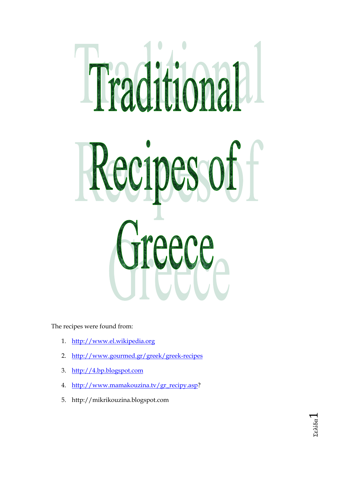# Traditional Recipes of reece

The recipes were found from:

- 1. [http://www.el.wikipedia.org](http://www.el.wikipedia.org/)
- 2. <http://www.gourmed.gr/greek/greek-recipes>
- 3. [http://4.bp.blogspot.com](http://4.bp.blogspot.com/)
- 4. [http://www.mamakouzina.tv/gr\\_recipy.asp?](http://www.mamakouzina.tv/gr_recipy.asp)
- 5. http://mikrikouzina.blogspot.com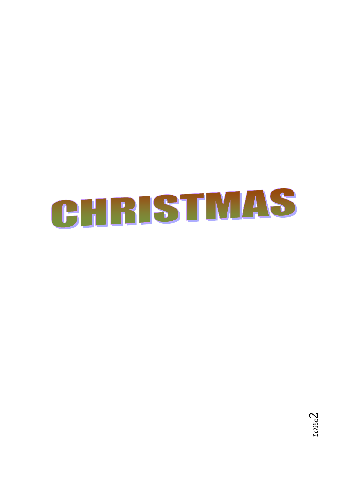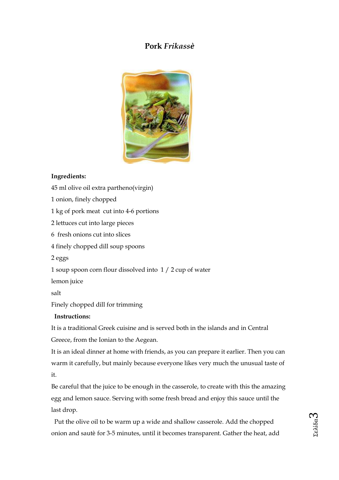# **Pork** *Frikassѐ*



#### **Ingredients:**

45 ml olive oil extra partheno(virgin) 1 onion, finely chopped 1 kg of pork meat cut into 4-6 portions 2 lettuces cut into large pieces 6 fresh onions cut into slices 4 finely chopped dill soup spoons 2 eggs 1 soup spoon corn flour dissolved into 1 / 2 cup of water lemon juice salt Finely chopped dill for trimming **Instructions:** 

It is a traditional Greek cuisine and is served both in the islands and in Central Greece, from the Ionian to the Aegean.

It is an ideal dinner at home with friends, as you can prepare it earlier. Then you can warm it carefully, but mainly because everyone likes very much the unusual taste of it.

Be careful that the juice to be enough in the casserole, to create with this the amazing egg and lemon sauce. Serving with some fresh bread and enjoy this sauce until the last drop.

Put the olive oil to be warm up a wide and shallow casserole. Add the chopped onion and sautѐ for 3-5 minutes, until it becomes transparent. Gather the heat, add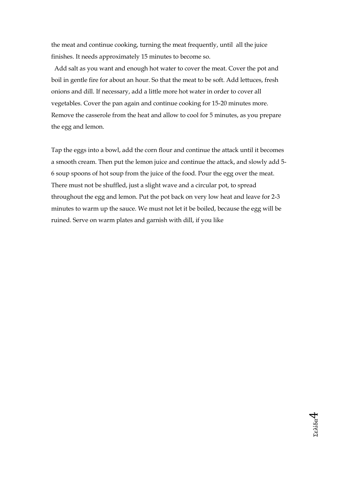the meat and continue cooking, turning the meat frequently, until all the juice finishes. It needs approximately 15 minutes to become so.

Add salt as you want and enough hot water to cover the meat. Cover the pot and boil in gentle fire for about an hour. So that the meat to be soft. Add lettuces, fresh onions and dill. If necessary, add a little more hot water in order to cover all vegetables. Cover the pan again and continue cooking for 15-20 minutes more. Remove the casserole from the heat and allow to cool for 5 minutes, as you prepare the egg and lemon.

Tap the eggs into a bowl, add the corn flour and continue the attack until it becomes a smooth cream. Then put the lemon juice and continue the attack, and slowly add 5- 6 soup spoons of hot soup from the juice of the food. Pour the egg over the meat. There must not be shuffled, just a slight wave and a circular pot, to spread throughout the egg and lemon. Put the pot back on very low heat and leave for 2-3 minutes to warm up the sauce. We must not let it be boiled, because the egg will be ruined. Serve on warm plates and garnish with dill, if you like

Σελίδα

4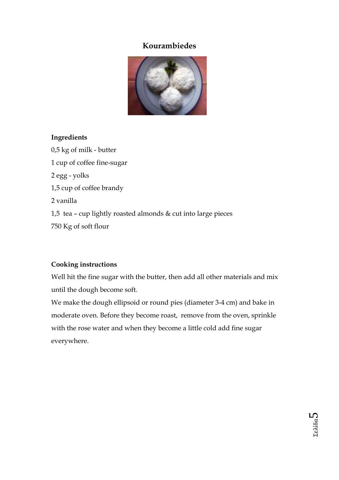# **Kourambiedes**



# **Ingredients**

0,5 kg of milk - butter 1 cup of coffee fine-sugar 2 egg - yolks 1,5 cup of coffee brandy 2 vanilla 1,5 tea – cup lightly roasted almonds & cut into large pieces 750 Kg of soft flour

# **Cooking instructions**

Well hit the fine sugar with the butter, then add all other materials and mix until the dough become soft.

We make the dough ellipsoid or round pies (diameter 3-4 cm) and bake in moderate oven. Before they become roast, remove from the oven, sprinkle with the rose water and when they become a little cold add fine sugar everywhere.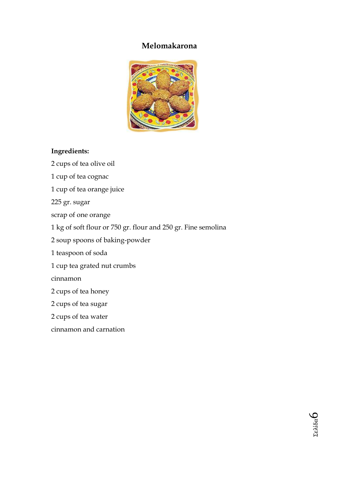# **Melomakarona**



## **Ingredients:**

2 cups of tea olive oil 1 cup of tea cognac 1 cup of tea orange juice 225 gr. sugar scrap of one orange 1 kg of soft flour or 750 gr. flour and 250 gr. Fine semolina 2 soup spoons of baking-powder 1 teaspoon of soda 1 cup tea grated nut crumbs cinnamon 2 cups of tea honey 2 cups of tea sugar 2 cups of tea water cinnamon and carnation

> Σελίδα  $\infty$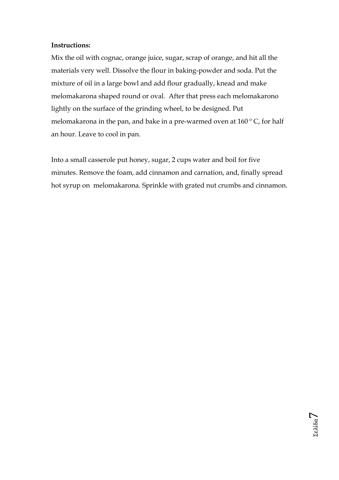## **Instructions:**

Mix the oil with cognac, orange juice, sugar, scrap of orange, and hit all the materials very well. Dissolve the flour in baking-powder and soda. Put the mixture of oil in a large bowl and add flour gradually, knead and make melomakarona shaped round or oval. After that press each melomakarono lightly on the surface of the grinding wheel, to be designed. Put melomakarona in the pan, and bake in a pre-warmed oven at  $160^{\circ}$  C, for half an hour. Leave to cool in pan.

Into a small casserole put honey, sugar, 2 cups water and boil for five minutes. Remove the foam, add cinnamon and carnation, and, finally spread hot syrup on melomakarona. Sprinkle with grated nut crumbs and cinnamon.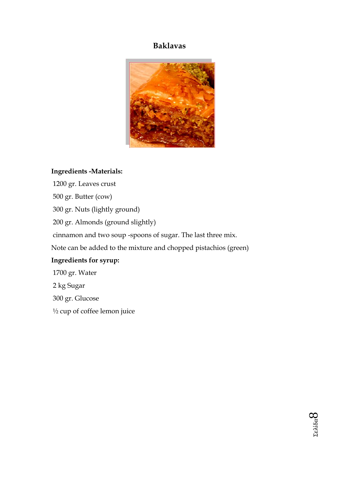# **Baklavas**



## **Ingredients -Materials:**

1200 gr. Leaves crust 500 gr. Butter (cow) 300 gr. Nuts (lightly ground) 200 gr. Almonds (ground slightly) cinnamon and two soup -spoons of sugar. The last three mix. Note can be added to the mixture and chopped pistachios (green) **Ingredients for syrup:**  1700 gr. Water

2 kg Sugar

300 gr. Glucose

½ cup of coffee lemon juice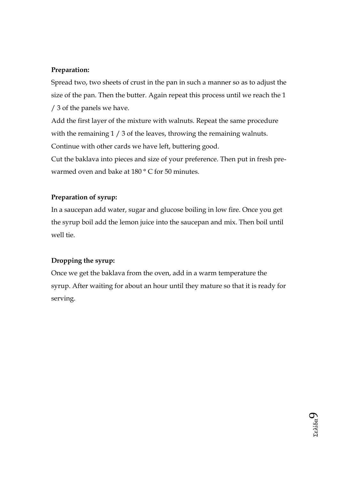## **Preparation:**

Spread two, two sheets of crust in the pan in such a manner so as to adjust the size of the pan. Then the butter. Again repeat this process until we reach the 1 / 3 of the panels we have.

Add the first layer of the mixture with walnuts. Repeat the same procedure with the remaining  $1/3$  of the leaves, throwing the remaining walnuts. Continue with other cards we have left, buttering good.

Cut the baklava into pieces and size of your preference. Then put in fresh prewarmed oven and bake at 180 ° C for 50 minutes.

# **Preparation of syrup:**

In a saucepan add water, sugar and glucose boiling in low fire. Once you get the syrup boil add the lemon juice into the saucepan and mix. Then boil until well tie.

# **Dropping the syrup:**

Once we get the baklava from the oven, add in a warm temperature the syrup. After waiting for about an hour until they mature so that it is ready for serving.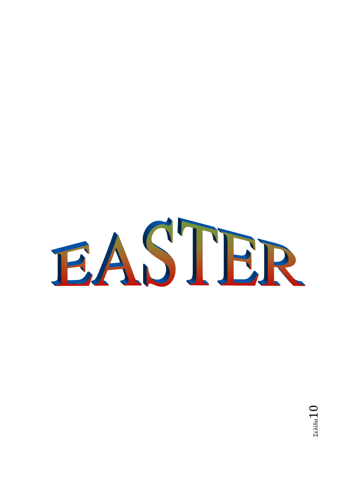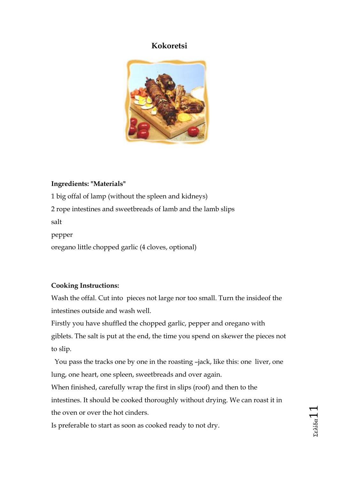# **Kokoretsi**



## **Ingredients: "Materials"**

1 big offal of lamp (without the spleen and kidneys) 2 rope intestines and sweetbreads of lamb and the lamb slips salt pepper oregano little chopped garlic (4 cloves, optional)

## **Cooking Instructions:**

Wash the offal. Cut into pieces not large nor too small. Turn the insideof the intestines outside and wash well.

Firstly you have shuffled the chopped garlic, pepper and oregano with giblets. The salt is put at the end, the time you spend on skewer the pieces not to slip.

You pass the tracks one by one in the roasting –jack, like this: one liver, one lung, one heart, one spleen, sweetbreads and over again.

When finished, carefully wrap the first in slips (roof) and then to the intestines. It should be cooked thoroughly without drying. We can roast it in the oven or over the hot cinders.

Is preferable to start as soon as cooked ready to not dry.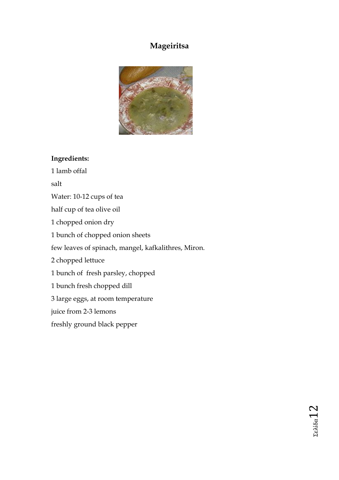# **Mageiritsa**



# **Ingredients:**

1 lamb offal salt Water: 10-12 cups of tea half cup of tea olive oil 1 chopped onion dry 1 bunch of chopped onion sheets few leaves of spinach, mangel, kafkalithres, Miron. 2 chopped lettuce 1 bunch of fresh parsley, chopped 1 bunch fresh chopped dill 3 large eggs, at room temperature juice from 2-3 lemons freshly ground black pepper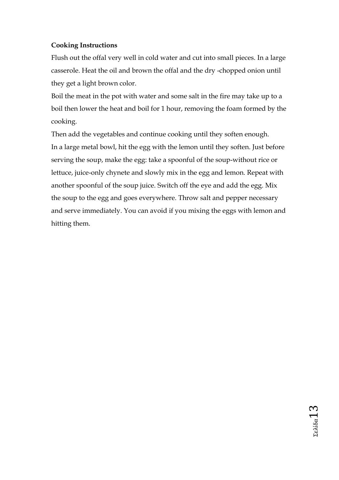## **Cooking Instructions**

Flush out the offal very well in cold water and cut into small pieces. In a large casserole. Heat the oil and brown the offal and the dry -chopped onion until they get a light brown color.

Boil the meat in the pot with water and some salt in the fire may take up to a boil then lower the heat and boil for 1 hour, removing the foam formed by the cooking.

Then add the vegetables and continue cooking until they soften enough. In a large metal bowl, hit the egg with the lemon until they soften. Just before serving the soup, make the egg: take a spoonful of the soup-without rice or lettuce, juice-only chynete and slowly mix in the egg and lemon. Repeat with another spoonful of the soup juice. Switch off the eye and add the egg. Mix the soup to the egg and goes everywhere. Throw salt and pepper necessary and serve immediately. You can avoid if you mixing the eggs with lemon and hitting them.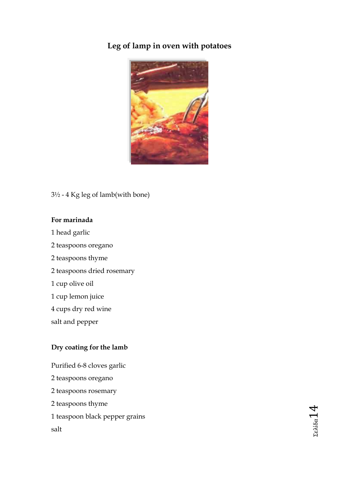# **Leg of lamp in oven with potatoes**



## 3½ - 4 Kg leg of lamb(with bone)

## **For marinada**

- 1 head garlic
- 2 teaspoons oregano
- 2 teaspoons thyme
- 2 teaspoons dried rosemary
- 1 cup olive oil
- 1 cup lemon juice
- 4 cups dry red wine
- salt and pepper

# **Dry coating for the lamb**

Purified 6-8 cloves garlic 2 teaspoons oregano 2 teaspoons rosemary 2 teaspoons thyme 1 teaspoon black pepper grains salt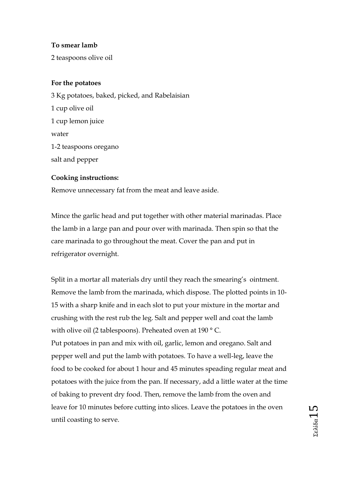## **To smear lamb**

2 teaspoons olive oil

## **For the potatoes**

3 Kg potatoes, baked, picked, and Rabelaisian 1 cup olive oil 1 cup lemon juice water 1-2 teaspoons oregano salt and pepper

#### **Cooking instructions:**

Remove unnecessary fat from the meat and leave aside.

Mince the garlic head and put together with other material marinadas. Place the lamb in a large pan and pour over with marinada. Then spin so that the care marinada to go throughout the meat. Cover the pan and put in refrigerator overnight.

Split in a mortar all materials dry until they reach the smearing's ointment. Remove the lamb from the marinada, which dispose. The plotted points in 10- 15 with a sharp knife and in each slot to put your mixture in the mortar and crushing with the rest rub the leg. Salt and pepper well and coat the lamb with olive oil (2 tablespoons). Preheated oven at 190 °C. Put potatoes in pan and mix with oil, garlic, lemon and oregano. Salt and pepper well and put the lamb with potatoes. To have a well-leg, leave the food to be cooked for about 1 hour and 45 minutes speading regular meat and potatoes with the juice from the pan. If necessary, add a little water at the time of baking to prevent dry food. Then, remove the lamb from the oven and leave for 10 minutes before cutting into slices. Leave the potatoes in the oven until coasting to serve.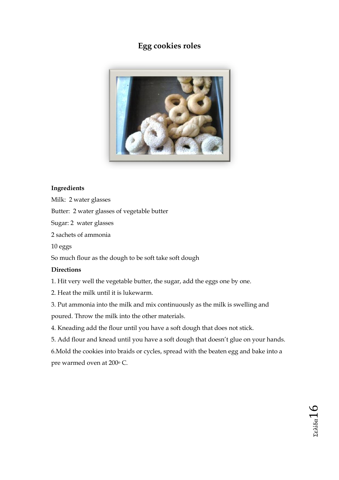# **Egg cookies roles**



#### **Ingredients**

Milk: 2 water glasses

Butter: 2 water glasses of vegetable butter

Sugar: 2 water glasses

2 sachets of ammonia

10 eggs

So much flour as the dough to be soft take soft dough

#### **Directions**

1. Hit very well the vegetable butter, the sugar, add the eggs one by one.

2. Heat the milk until it is lukewarm.

3. Put ammonia into the milk and mix continuously as the milk is swelling and

poured. Throw the milk into the other materials.

- 4. Kneading add the flour until you have a soft dough that does not stick.
- 5. Add flour and knead until you have a soft dough that doesn't glue on your hands.

6.Mold the cookies into braids or cycles, spread with the beaten egg and bake into a pre warmed oven at 200<sup>o</sup> C.

Σελίδα16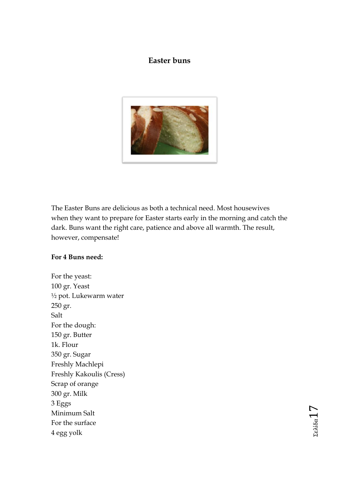# **Easter buns**



The Easter Buns are delicious as both a technical need. Most housewives when they want to prepare for Easter starts early in the morning and catch the dark. Buns want the right care, patience and above all warmth. The result, however, compensate!

## **For 4 Buns need:**

For the yeast: 100 gr. Yeast ½ pot. Lukewarm water 250 gr. Salt For the dough: 150 gr. Butter 1k. Flour 350 gr. Sugar Freshly Machlepi Freshly Kakoulis (Cress) Scrap of orange 300 gr. Milk 3 Eggs Minimum Salt For the surface 4 egg yolk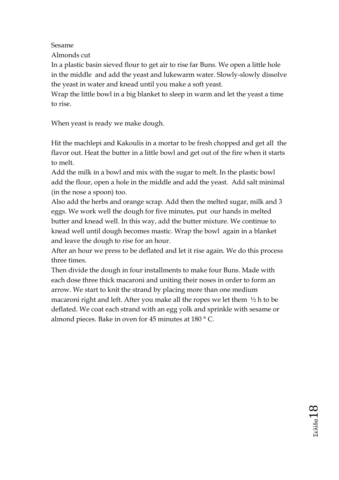Sesame

Almonds cut

In a plastic basin sieved flour to get air to rise far Buns. We open a little hole in the middle and add the yeast and lukewarm water. Slowly-slowly dissolve the yeast in water and knead until you make a soft yeast.

Wrap the little bowl in a big blanket to sleep in warm and let the yeast a time to rise.

When yeast is ready we make dough.

Hit the machlepi and Kakoulis in a mortar to be fresh chopped and get all the flavor out. Heat the butter in a little bowl and get out of the fire when it starts to melt.

Add the milk in a bowl and mix with the sugar to melt. In the plastic bowl add the flour, open a hole in the middle and add the yeast. Add salt minimal (in the nose a spoon) too.

Also add the herbs and orange scrap. Add then the melted sugar, milk and 3 eggs. We work well the dough for five minutes, put our hands in melted butter and knead well. In this way, add the butter mixture. We continue to knead well until dough becomes mastic. Wrap the bowl again in a blanket and leave the dough to rise for an hour.

After an hour we press to be deflated and let it rise again. We do this process three times.

Then divide the dough in four installments to make four Buns. Made with each dose three thick macaroni and uniting their noses in order to form an arrow. We start to knit the strand by placing more than one medium macaroni right and left. After you make all the ropes we let them  $\frac{1}{2}$  h to be deflated. We coat each strand with an egg yolk and sprinkle with sesame or almond pieces. Bake in oven for 45 minutes at 180 ° C.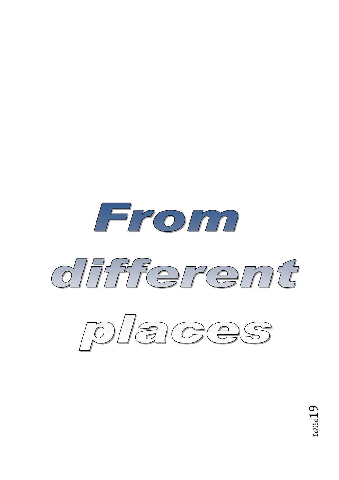



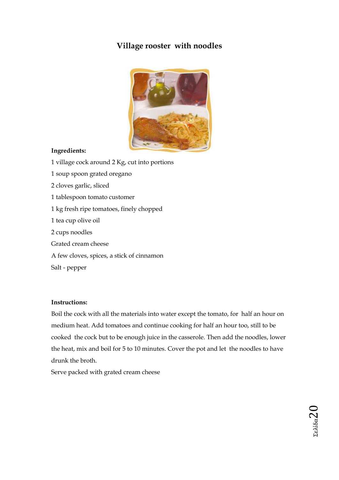# **Village rooster with noodles**



#### **Ingredients:**

- 1 village cock around 2 Kg, cut into portions
- 1 soup spoon grated oregano
- 2 cloves garlic, sliced
- 1 tablespoon tomato customer
- 1 kg fresh ripe tomatoes, finely chopped
- 1 tea cup olive oil
- 2 cups noodles
- Grated cream cheese
- A few cloves, spices, a stick of cinnamon

Salt - pepper

#### **Instructions:**

Boil the cock with all the materials into water except the tomato, for half an hour on medium heat. Add tomatoes and continue cooking for half an hour too, still to be cooked the cock but to be enough juice in the casserole. Then add the noodles, lower the heat, mix and boil for 5 to 10 minutes. Cover the pot and let the noodles to have drunk the broth.

Serve packed with grated cream cheese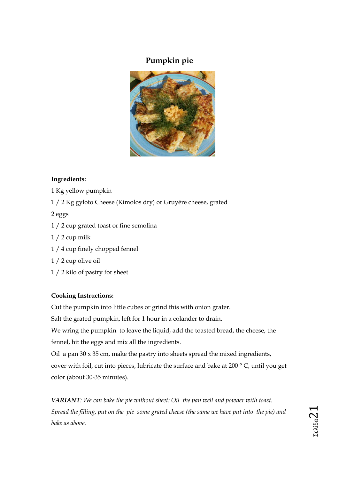# **Pumpkin pie**



#### **Ingredients:**

- 1 Kg yellow pumpkin
- 1 / 2 Kg gyloto Cheese (Kimolos dry) or Gruyére cheese, grated

2 eggs

- 1 / 2 cup grated toast or fine semolina
- $1/2$  cup milk
- 1 / 4 cup finely chopped fennel
- 1 / 2 cup olive oil
- 1 / 2 kilo of pastry for sheet

#### **Cooking Instructions:**

Cut the pumpkin into little cubes or grind this with onion grater.

Salt the grated pumpkin, left for 1 hour in a colander to drain.

We wring the pumpkin to leave the liquid, add the toasted bread, the cheese, the fennel, hit the eggs and mix all the ingredients.

Oil a pan 30 x 35 cm, make the pastry into sheets spread the mixed ingredients, cover with foil, cut into pieces, lubricate the surface and bake at 200 ° C, until you get color (about 30-35 minutes).

*VARIANT: We can bake the pie without sheet: Oil the pan well and powder with toast. Spread the filling, put on the pie some grated cheese (the same we have put into the pie) and bake as above.*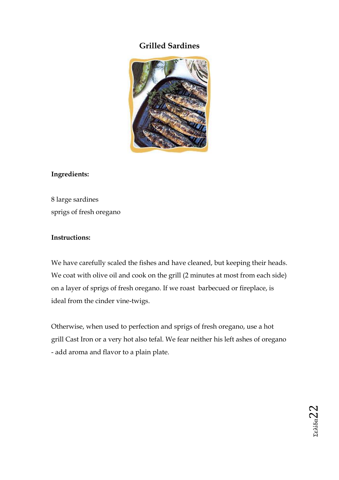# **Grilled Sardines**



## **Ingredients:**

8 large sardines sprigs of fresh oregano

## **Instructions:**

We have carefully scaled the fishes and have cleaned, but keeping their heads. We coat with olive oil and cook on the grill (2 minutes at most from each side) on a layer of sprigs of fresh oregano. If we roast barbecued or fireplace, is ideal from the cinder vine-twigs.

Otherwise, when used to perfection and sprigs of fresh oregano, use a hot grill Cast Iron or a very hot also tefal. We fear neither his left ashes of oregano - add aroma and flavor to a plain plate.

Σελίδα22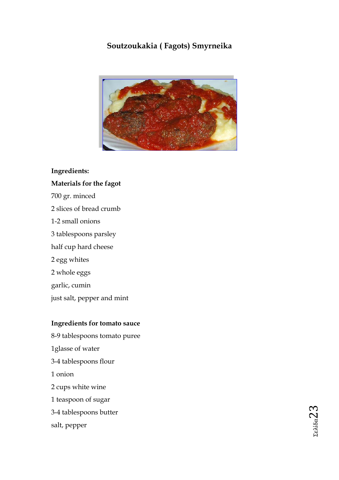# **Soutzoukakia ( Fagots) Smyrneika**



## **Ingredients:**

## **Materials for the fagot**

700 gr. minced 2 slices of bread crumb 1-2 small onions 3 tablespoons parsley half cup hard cheese 2 egg whites 2 whole eggs garlic, cumin just salt, pepper and mint

#### **Ingredients for tomato sauce**

8-9 tablespoons tomato puree 1glasse of water 3-4 tablespoons flour 1 onion 2 cups white wine 1 teaspoon of sugar 3-4 tablespoons butter salt, pepper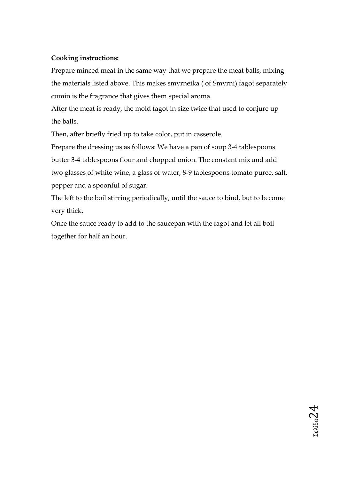## **Cooking instructions:**

Prepare minced meat in the same way that we prepare the meat balls, mixing the materials listed above. This makes smyrneika ( of Smyrni) fagot separately cumin is the fragrance that gives them special aroma.

After the meat is ready, the mold fagot in size twice that used to conjure up the balls.

Then, after briefly fried up to take color, put in casserole.

Prepare the dressing us as follows: We have a pan of soup 3-4 tablespoons butter 3-4 tablespoons flour and chopped onion. The constant mix and add two glasses of white wine, a glass of water, 8-9 tablespoons tomato puree, salt, pepper and a spoonful of sugar.

The left to the boil stirring periodically, until the sauce to bind, but to become very thick.

Once the sauce ready to add to the saucepan with the fagot and let all boil together for half an hour.

Σελίδα24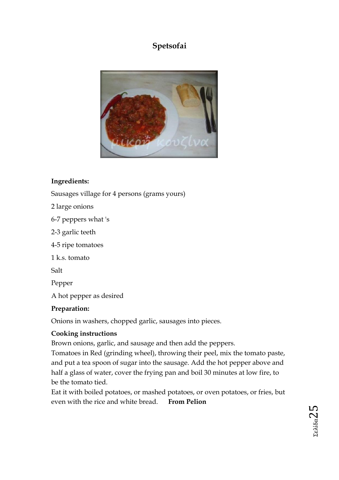# **Spetsofai**



# **Ingredients:**

Sausages village for 4 persons (grams yours)

- 2 large onions
- 6-7 peppers what 's
- 2-3 garlic teeth
- 4-5 ripe tomatoes
- 1 k.s. tomato

Salt

Pepper

A hot pepper as desired

## **Preparation:**

Onions in washers, chopped garlic, sausages into pieces.

# **Cooking instructions**

Brown onions, garlic, and sausage and then add the peppers.

Tomatoes in Red (grinding wheel), throwing their peel, mix the tomato paste, and put a tea spoon of sugar into the sausage. Add the hot pepper above and half a glass of water, cover the frying pan and boil 30 minutes at low fire, to be the tomato tied.

Eat it with boiled potatoes, or mashed potatoes, or oven potatoes, or fries, but even with the rice and white bread. **From Pelion**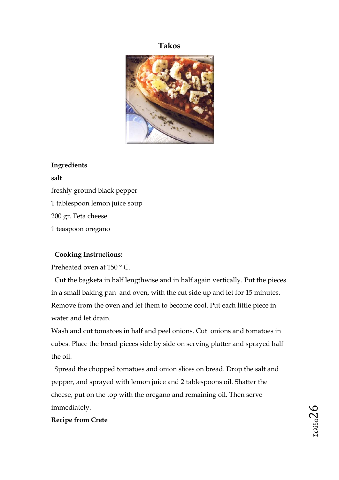## **Takos**



#### **Ingredients**

salt freshly ground black pepper 1 tablespoon lemon juice soup 200 gr. Feta cheese 1 teaspoon oregano

#### **Cooking Instructions:**

Preheated oven at 150 ° C.

Cut the bagketa in half lengthwise and in half again vertically. Put the pieces in a small baking pan and oven, with the cut side up and let for 15 minutes. Remove from the oven and let them to become cool. Put each little piece in water and let drain.

Wash and cut tomatoes in half and peel onions. Cut onions and tomatoes in cubes. Place the bread pieces side by side on serving platter and sprayed half the oil.

Spread the chopped tomatoes and onion slices on bread. Drop the salt and pepper, and sprayed with lemon juice and 2 tablespoons oil. Shatter the cheese, put on the top with the oregano and remaining oil. Then serve immediately.

#### **Recipe from Crete**

Σελίδα $26$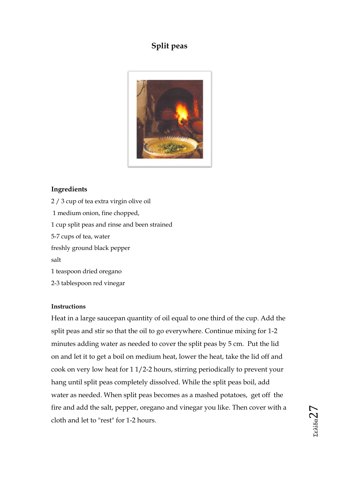# **Split peas**



## **Ingredients**

2 / 3 cup of tea extra virgin olive oil 1 medium onion, fine chopped, 1 cup split peas and rinse and been strained 5-7 cups of tea, water freshly ground black pepper salt 1 teaspoon dried oregano 2-3 tablespoon red vinegar

#### **Instructions**

Heat in a large saucepan quantity of oil equal to one third of the cup. Add the split peas and stir so that the oil to go everywhere. Continue mixing for 1-2 minutes adding water as needed to cover the split peas by 5 cm. Put the lid on and let it to get a boil on medium heat, lower the heat, take the lid off and cook on very low heat for 1 1/2-2 hours, stirring periodically to prevent your hang until split peas completely dissolved. While the split peas boil, add water as needed. When split peas becomes as a mashed potatoes, get off the fire and add the salt, pepper, oregano and vinegar you like. Then cover with a cloth and let to "rest" for 1-2 hours.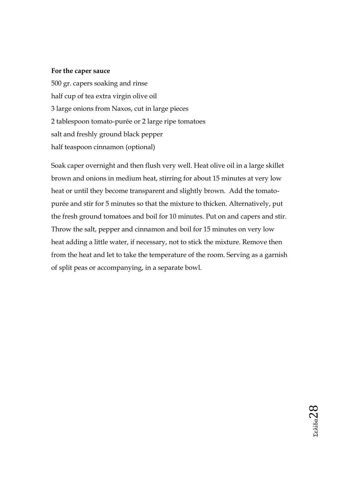#### **For the caper sauce**

500 gr. capers soaking and rinse half cup of tea extra virgin olive oil 3 large onions from Naxos, cut in large pieces 2 tablespoon tomato-purée or 2 large ripe tomatoes salt and freshly ground black pepper half teaspoon cinnamon (optional)

Soak caper overnight and then flush very well. Heat olive oil in a large skillet brown and onions in medium heat, stirring for about 15 minutes at very low heat or until they become transparent and slightly brown. Add the tomatopurée and stir for 5 minutes so that the mixture to thicken. Alternatively, put the fresh ground tomatoes and boil for 10 minutes. Put on and capers and stir. Throw the salt, pepper and cinnamon and boil for 15 minutes on very low heat adding a little water, if necessary, not to stick the mixture. Remove then from the heat and let to take the temperature of the room. Serving as a garnish of split peas or accompanying, in a separate bowl.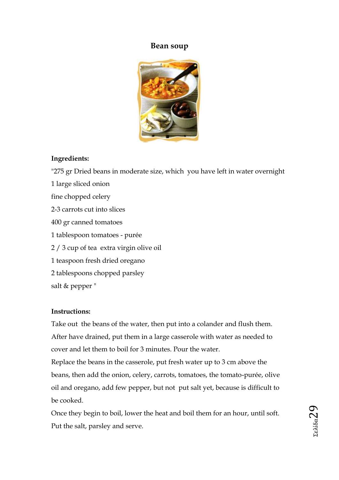## **Bean soup**



## **Ingredients:**

"275 gr Dried beans in moderate size, which you have left in water overnight 1 large sliced onion fine chopped celery 2-3 carrots cut into slices 400 gr canned tomatoes 1 tablespoon tomatoes - purée 2 / 3 cup of tea extra virgin olive oil 1 teaspoon fresh dried oregano 2 tablespoons chopped parsley salt & pepper "

## **Instructions:**

Take out the beans of the water, then put into a colander and flush them. After have drained, put them in a large casserole with water as needed to cover and let them to boil for 3 minutes. Pour the water.

Replace the beans in the casserole, put fresh water up to 3 cm above the beans, then add the onion, celery, carrots, tomatoes, the tomato-purée, olive oil and oregano, add few pepper, but not put salt yet, because is difficult to be cooked.

Once they begin to boil, lower the heat and boil them for an hour, until soft. Put the salt, parsley and serve.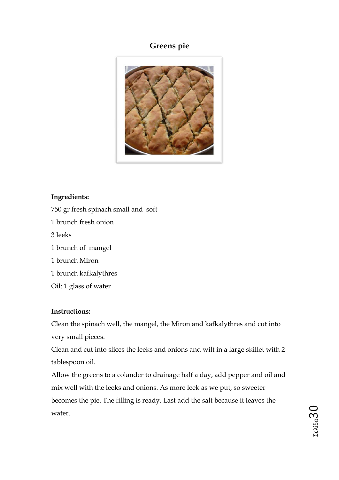# **Greens pie**



## **Ingredients:**

- 750 gr fresh spinach small and soft
- 1 brunch fresh onion
- 3 leeks
- 1 brunch of mangel
- 1 brunch Miron
- 1 brunch kafkalythres
- Oil: 1 glass of water

#### **Instructions:**

Clean the spinach well, the mangel, the Miron and kafkalythres and cut into very small pieces.

Clean and cut into slices the leeks and onions and wilt in a large skillet with 2 tablespoon oil.

Allow the greens to a colander to drainage half a day, add pepper and oil and mix well with the leeks and onions. As more leek as we put, so sweeter becomes the pie. The filling is ready. Last add the salt because it leaves the water.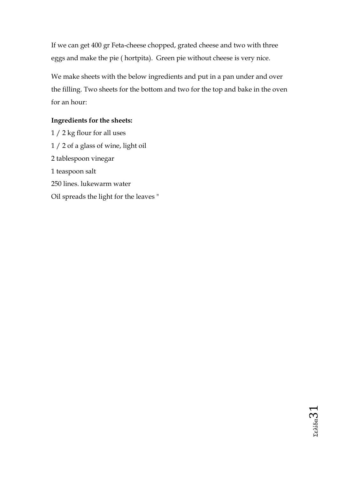If we can get 400 gr Feta-cheese chopped, grated cheese and two with three eggs and make the pie ( hortpita). Green pie without cheese is very nice.

We make sheets with the below ingredients and put in a pan under and over the filling. Two sheets for the bottom and two for the top and bake in the oven for an hour:

## **Ingredients for the sheets:**

1 / 2 kg flour for all uses 1 / 2 of a glass of wine, light oil 2 tablespoon vinegar 1 teaspoon salt 250 lines. lukewarm water Oil spreads the light for the leaves "

Σελίδα31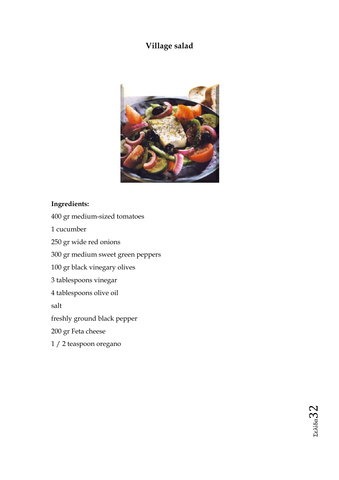# **Village salad**



## **Ingredients:**

- 400 gr medium-sized tomatoes
- 1 cucumber
- 250 gr wide red onions
- 300 gr medium sweet green peppers
- 100 gr black vinegary olives
- 3 tablespoons vinegar
- 4 tablespoons olive oil

salt

freshly ground black pepper

- 200 gr Feta cheese
- 1 / 2 teaspoon oregano

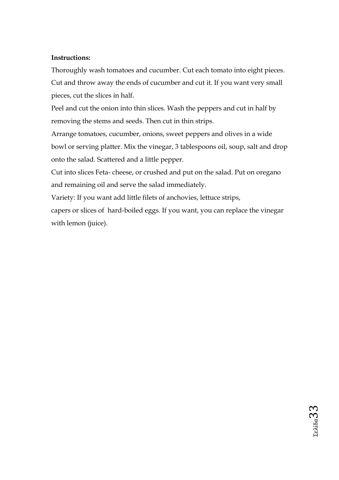## **Instructions:**

Thoroughly wash tomatoes and cucumber. Cut each tomato into eight pieces. Cut and throw away the ends of cucumber and cut it. If you want very small pieces, cut the slices in half.

Peel and cut the onion into thin slices. Wash the peppers and cut in half by removing the stems and seeds. Then cut in thin strips.

Arrange tomatoes, cucumber, onions, sweet peppers and olives in a wide bowl or serving platter. Mix the vinegar, 3 tablespoons oil, soup, salt and drop onto the salad. Scattered and a little pepper.

Cut into slices Feta- cheese, or crushed and put on the salad. Put on oregano and remaining oil and serve the salad immediately.

Variety: If you want add little filets of anchovies, lettuce strips,

capers or slices of hard-boiled eggs. If you want, you can replace the vinegar with lemon (juice).